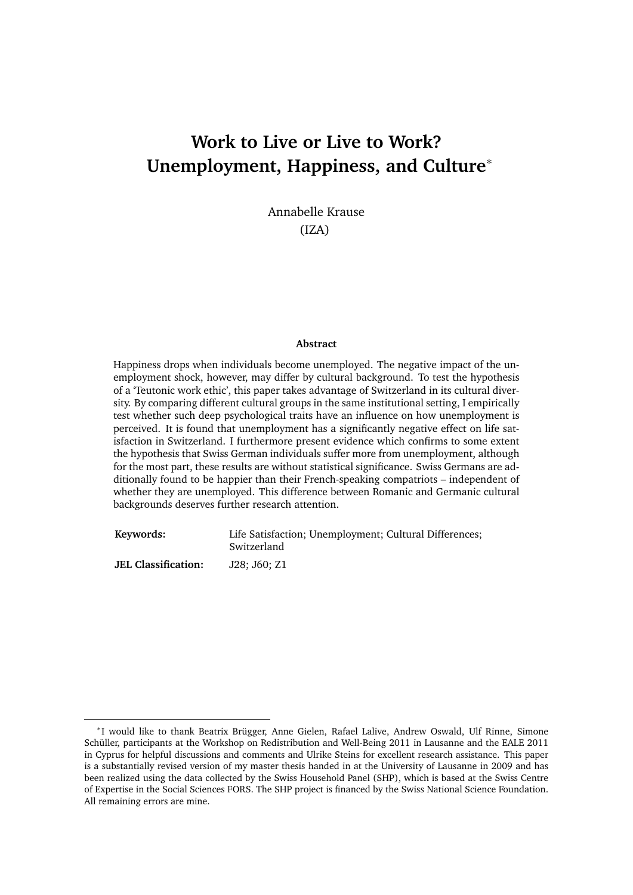# **Work to Live or Live to Work? Unemployment, Happiness, and Culture**<sup>∗</sup>

Annabelle Krause (IZA)

#### **Abstract**

Happiness drops when individuals become unemployed. The negative impact of the unemployment shock, however, may differ by cultural background. To test the hypothesis of a 'Teutonic work ethic', this paper takes advantage of Switzerland in its cultural diversity. By comparing different cultural groups in the same institutional setting, I empirically test whether such deep psychological traits have an influence on how unemployment is perceived. It is found that unemployment has a significantly negative effect on life satisfaction in Switzerland. I furthermore present evidence which confirms to some extent the hypothesis that Swiss German individuals suffer more from unemployment, although for the most part, these results are without statistical significance. Swiss Germans are additionally found to be happier than their French-speaking compatriots – independent of whether they are unemployed. This difference between Romanic and Germanic cultural backgrounds deserves further research attention.

**Keywords:** Life Satisfaction; Unemployment; Cultural Differences; Switzerland **JEL Classification:** J28; J60; Z1

<sup>∗</sup> I would like to thank Beatrix Brügger, Anne Gielen, Rafael Lalive, Andrew Oswald, Ulf Rinne, Simone Schüller, participants at the Workshop on Redistribution and Well-Being 2011 in Lausanne and the EALE 2011 in Cyprus for helpful discussions and comments and Ulrike Steins for excellent research assistance. This paper is a substantially revised version of my master thesis handed in at the University of Lausanne in 2009 and has been realized using the data collected by the Swiss Household Panel (SHP), which is based at the Swiss Centre of Expertise in the Social Sciences FORS. The SHP project is financed by the Swiss National Science Foundation. All remaining errors are mine.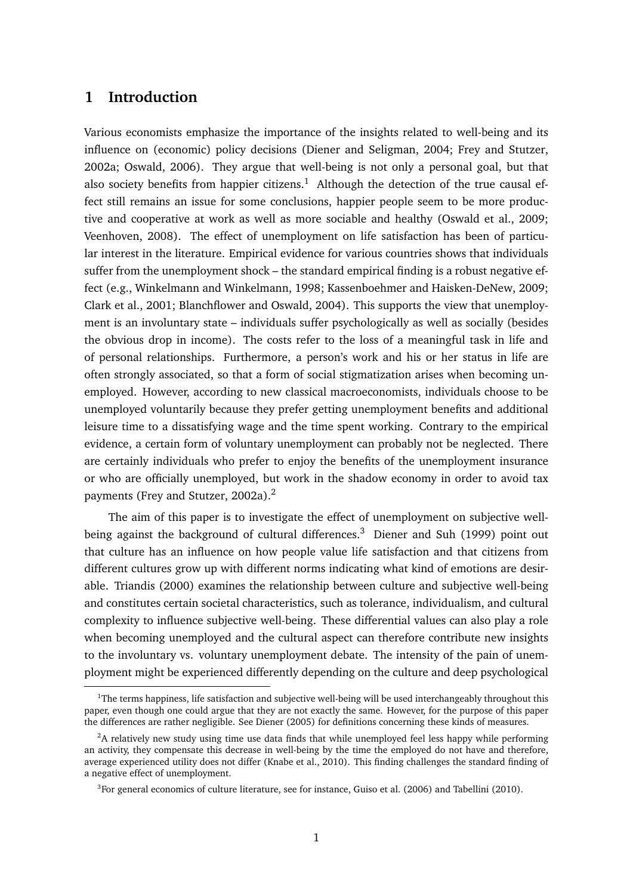### **1 Introduction**

Various economists emphasize the importance of the insights related to well-being and its influence on (economic) policy decisions (Diener and Seligman, 2004; Frey and Stutzer, 2002a; Oswald, 2006). They argue that well-being is not only a personal goal, but that also society benefits from happier citizens.<sup>1</sup> Although the detection of the true causal effect still remains an issue for some conclusions, happier people seem to be more productive and cooperative at work as well as more sociable and healthy (Oswald et al., 2009; Veenhoven, 2008). The effect of unemployment on life satisfaction has been of particular interest in the literature. Empirical evidence for various countries shows that individuals suffer from the unemployment shock – the standard empirical finding is a robust negative effect (e.g., Winkelmann and Winkelmann, 1998; Kassenboehmer and Haisken-DeNew, 2009; Clark et al., 2001; Blanchflower and Oswald, 2004). This supports the view that unemployment is an involuntary state – individuals suffer psychologically as well as socially (besides the obvious drop in income). The costs refer to the loss of a meaningful task in life and of personal relationships. Furthermore, a person's work and his or her status in life are often strongly associated, so that a form of social stigmatization arises when becoming unemployed. However, according to new classical macroeconomists, individuals choose to be unemployed voluntarily because they prefer getting unemployment benefits and additional leisure time to a dissatisfying wage and the time spent working. Contrary to the empirical evidence, a certain form of voluntary unemployment can probably not be neglected. There are certainly individuals who prefer to enjoy the benefits of the unemployment insurance or who are officially unemployed, but work in the shadow economy in order to avoid tax payments (Frey and Stutzer, 2002a).<sup>2</sup>

The aim of this paper is to investigate the effect of unemployment on subjective wellbeing against the background of cultural differences.<sup>3</sup> Diener and Suh (1999) point out that culture has an influence on how people value life satisfaction and that citizens from different cultures grow up with different norms indicating what kind of emotions are desirable. Triandis (2000) examines the relationship between culture and subjective well-being and constitutes certain societal characteristics, such as tolerance, individualism, and cultural complexity to influence subjective well-being. These differential values can also play a role when becoming unemployed and the cultural aspect can therefore contribute new insights to the involuntary vs. voluntary unemployment debate. The intensity of the pain of unemployment might be experienced differently depending on the culture and deep psychological

 $1$ The terms happiness, life satisfaction and subjective well-being will be used interchangeably throughout this paper, even though one could argue that they are not exactly the same. However, for the purpose of this paper the differences are rather negligible. See Diener (2005) for definitions concerning these kinds of measures.

<sup>&</sup>lt;sup>2</sup>A relatively new study using time use data finds that while unemployed feel less happy while performing an activity, they compensate this decrease in well-being by the time the employed do not have and therefore, average experienced utility does not differ (Knabe et al., 2010). This finding challenges the standard finding of a negative effect of unemployment.

<sup>&</sup>lt;sup>3</sup> For general economics of culture literature, see for instance, Guiso et al. (2006) and Tabellini (2010).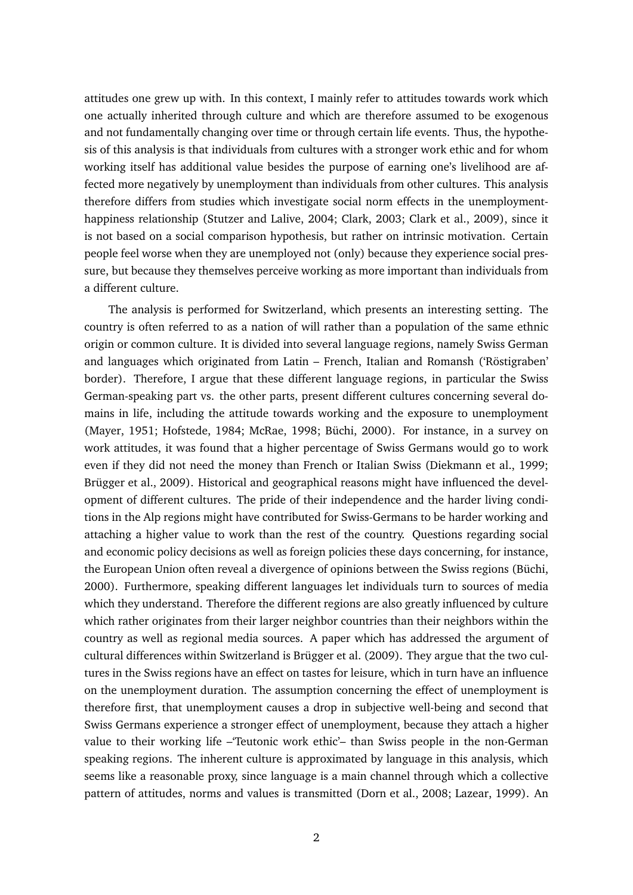attitudes one grew up with. In this context, I mainly refer to attitudes towards work which one actually inherited through culture and which are therefore assumed to be exogenous and not fundamentally changing over time or through certain life events. Thus, the hypothesis of this analysis is that individuals from cultures with a stronger work ethic and for whom working itself has additional value besides the purpose of earning one's livelihood are affected more negatively by unemployment than individuals from other cultures. This analysis therefore differs from studies which investigate social norm effects in the unemploymenthappiness relationship (Stutzer and Lalive, 2004; Clark, 2003; Clark et al., 2009), since it is not based on a social comparison hypothesis, but rather on intrinsic motivation. Certain people feel worse when they are unemployed not (only) because they experience social pressure, but because they themselves perceive working as more important than individuals from a different culture.

The analysis is performed for Switzerland, which presents an interesting setting. The country is often referred to as a nation of will rather than a population of the same ethnic origin or common culture. It is divided into several language regions, namely Swiss German and languages which originated from Latin – French, Italian and Romansh ('Röstigraben' border). Therefore, I argue that these different language regions, in particular the Swiss German-speaking part vs. the other parts, present different cultures concerning several domains in life, including the attitude towards working and the exposure to unemployment (Mayer, 1951; Hofstede, 1984; McRae, 1998; Büchi, 2000). For instance, in a survey on work attitudes, it was found that a higher percentage of Swiss Germans would go to work even if they did not need the money than French or Italian Swiss (Diekmann et al., 1999; Brügger et al., 2009). Historical and geographical reasons might have influenced the development of different cultures. The pride of their independence and the harder living conditions in the Alp regions might have contributed for Swiss-Germans to be harder working and attaching a higher value to work than the rest of the country. Questions regarding social and economic policy decisions as well as foreign policies these days concerning, for instance, the European Union often reveal a divergence of opinions between the Swiss regions (Büchi, 2000). Furthermore, speaking different languages let individuals turn to sources of media which they understand. Therefore the different regions are also greatly influenced by culture which rather originates from their larger neighbor countries than their neighbors within the country as well as regional media sources. A paper which has addressed the argument of cultural differences within Switzerland is Brügger et al. (2009). They argue that the two cultures in the Swiss regions have an effect on tastes for leisure, which in turn have an influence on the unemployment duration. The assumption concerning the effect of unemployment is therefore first, that unemployment causes a drop in subjective well-being and second that Swiss Germans experience a stronger effect of unemployment, because they attach a higher value to their working life –'Teutonic work ethic'– than Swiss people in the non-German speaking regions. The inherent culture is approximated by language in this analysis, which seems like a reasonable proxy, since language is a main channel through which a collective pattern of attitudes, norms and values is transmitted (Dorn et al., 2008; Lazear, 1999). An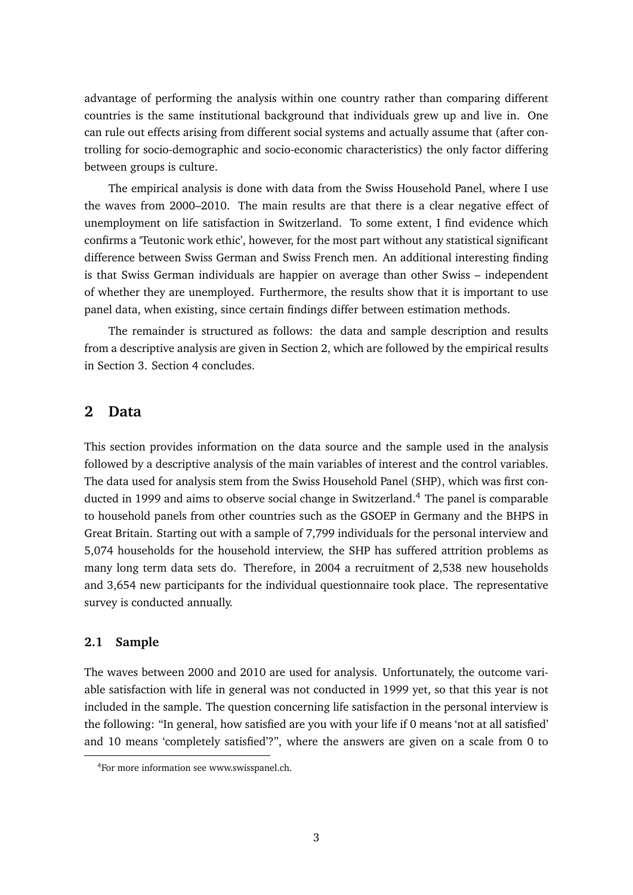advantage of performing the analysis within one country rather than comparing different countries is the same institutional background that individuals grew up and live in. One can rule out effects arising from different social systems and actually assume that (after controlling for socio-demographic and socio-economic characteristics) the only factor differing between groups is culture.

The empirical analysis is done with data from the Swiss Household Panel, where I use the waves from 2000–2010. The main results are that there is a clear negative effect of unemployment on life satisfaction in Switzerland. To some extent, I find evidence which confirms a 'Teutonic work ethic', however, for the most part without any statistical significant difference between Swiss German and Swiss French men. An additional interesting finding is that Swiss German individuals are happier on average than other Swiss – independent of whether they are unemployed. Furthermore, the results show that it is important to use panel data, when existing, since certain findings differ between estimation methods.

The remainder is structured as follows: the data and sample description and results from a descriptive analysis are given in Section 2, which are followed by the empirical results in Section 3. Section 4 concludes.

### **2 Data**

This section provides information on the data source and the sample used in the analysis followed by a descriptive analysis of the main variables of interest and the control variables. The data used for analysis stem from the Swiss Household Panel (SHP), which was first conducted in 1999 and aims to observe social change in Switzerland.<sup>4</sup> The panel is comparable to household panels from other countries such as the GSOEP in Germany and the BHPS in Great Britain. Starting out with a sample of 7,799 individuals for the personal interview and 5,074 households for the household interview, the SHP has suffered attrition problems as many long term data sets do. Therefore, in 2004 a recruitment of 2,538 new households and 3,654 new participants for the individual questionnaire took place. The representative survey is conducted annually.

### **2.1 Sample**

The waves between 2000 and 2010 are used for analysis. Unfortunately, the outcome variable satisfaction with life in general was not conducted in 1999 yet, so that this year is not included in the sample. The question concerning life satisfaction in the personal interview is the following: "In general, how satisfied are you with your life if 0 means 'not at all satisfied' and 10 means 'completely satisfied'?", where the answers are given on a scale from 0 to

<sup>&</sup>lt;sup>4</sup>For more information see www.swisspanel.ch.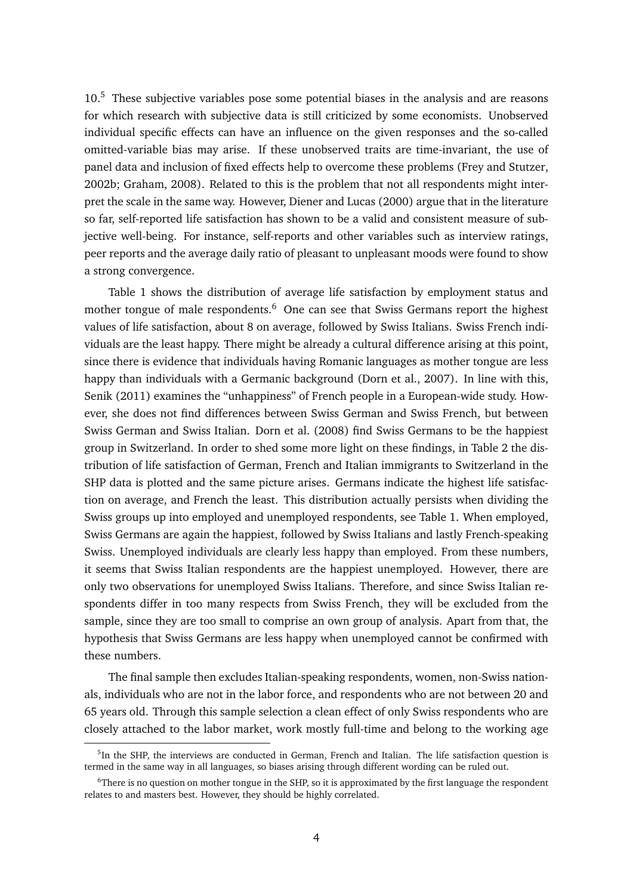10.<sup>5</sup> These subjective variables pose some potential biases in the analysis and are reasons for which research with subjective data is still criticized by some economists. Unobserved individual specific effects can have an influence on the given responses and the so-called omitted-variable bias may arise. If these unobserved traits are time-invariant, the use of panel data and inclusion of fixed effects help to overcome these problems (Frey and Stutzer, 2002b; Graham, 2008). Related to this is the problem that not all respondents might interpret the scale in the same way. However, Diener and Lucas (2000) argue that in the literature so far, self-reported life satisfaction has shown to be a valid and consistent measure of subjective well-being. For instance, self-reports and other variables such as interview ratings, peer reports and the average daily ratio of pleasant to unpleasant moods were found to show a strong convergence.

Table 1 shows the distribution of average life satisfaction by employment status and mother tongue of male respondents.<sup>6</sup> One can see that Swiss Germans report the highest values of life satisfaction, about 8 on average, followed by Swiss Italians. Swiss French individuals are the least happy. There might be already a cultural difference arising at this point, since there is evidence that individuals having Romanic languages as mother tongue are less happy than individuals with a Germanic background (Dorn et al., 2007). In line with this, Senik (2011) examines the "unhappiness" of French people in a European-wide study. However, she does not find differences between Swiss German and Swiss French, but between Swiss German and Swiss Italian. Dorn et al. (2008) find Swiss Germans to be the happiest group in Switzerland. In order to shed some more light on these findings, in Table 2 the distribution of life satisfaction of German, French and Italian immigrants to Switzerland in the SHP data is plotted and the same picture arises. Germans indicate the highest life satisfaction on average, and French the least. This distribution actually persists when dividing the Swiss groups up into employed and unemployed respondents, see Table 1. When employed, Swiss Germans are again the happiest, followed by Swiss Italians and lastly French-speaking Swiss. Unemployed individuals are clearly less happy than employed. From these numbers, it seems that Swiss Italian respondents are the happiest unemployed. However, there are only two observations for unemployed Swiss Italians. Therefore, and since Swiss Italian respondents differ in too many respects from Swiss French, they will be excluded from the sample, since they are too small to comprise an own group of analysis. Apart from that, the hypothesis that Swiss Germans are less happy when unemployed cannot be confirmed with these numbers.

The final sample then excludes Italian-speaking respondents, women, non-Swiss nationals, individuals who are not in the labor force, and respondents who are not between 20 and 65 years old. Through this sample selection a clean effect of only Swiss respondents who are closely attached to the labor market, work mostly full-time and belong to the working age

<sup>&</sup>lt;sup>5</sup>In the SHP, the interviews are conducted in German, French and Italian. The life satisfaction question is termed in the same way in all languages, so biases arising through different wording can be ruled out.

<sup>&</sup>lt;sup>6</sup>There is no question on mother tongue in the SHP, so it is approximated by the first language the respondent relates to and masters best. However, they should be highly correlated.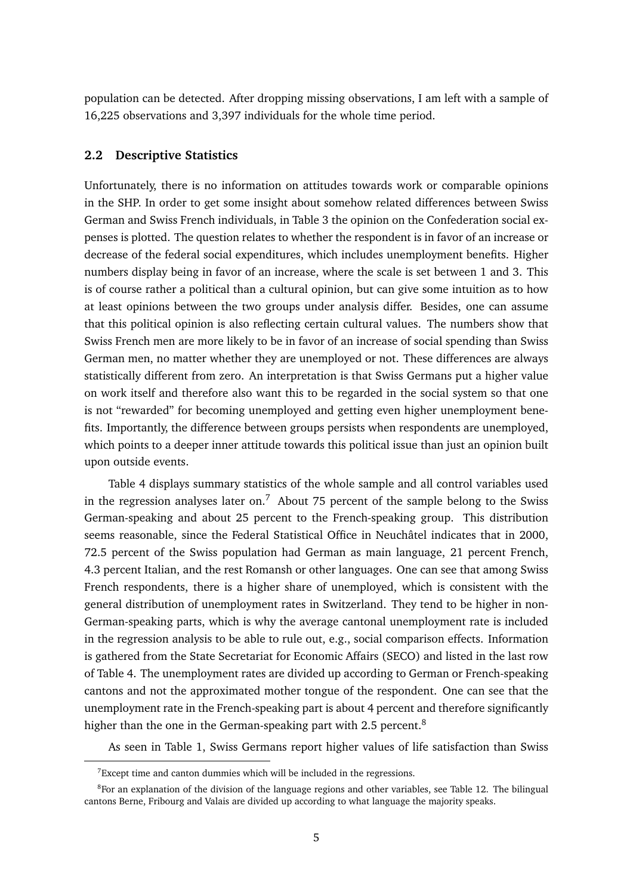population can be detected. After dropping missing observations, I am left with a sample of 16,225 observations and 3,397 individuals for the whole time period.

### **2.2 Descriptive Statistics**

Unfortunately, there is no information on attitudes towards work or comparable opinions in the SHP. In order to get some insight about somehow related differences between Swiss German and Swiss French individuals, in Table 3 the opinion on the Confederation social expenses is plotted. The question relates to whether the respondent is in favor of an increase or decrease of the federal social expenditures, which includes unemployment benefits. Higher numbers display being in favor of an increase, where the scale is set between 1 and 3. This is of course rather a political than a cultural opinion, but can give some intuition as to how at least opinions between the two groups under analysis differ. Besides, one can assume that this political opinion is also reflecting certain cultural values. The numbers show that Swiss French men are more likely to be in favor of an increase of social spending than Swiss German men, no matter whether they are unemployed or not. These differences are always statistically different from zero. An interpretation is that Swiss Germans put a higher value on work itself and therefore also want this to be regarded in the social system so that one is not "rewarded" for becoming unemployed and getting even higher unemployment benefits. Importantly, the difference between groups persists when respondents are unemployed, which points to a deeper inner attitude towards this political issue than just an opinion built upon outside events.

Table 4 displays summary statistics of the whole sample and all control variables used in the regression analyses later on.<sup>7</sup> About 75 percent of the sample belong to the Swiss German-speaking and about 25 percent to the French-speaking group. This distribution seems reasonable, since the Federal Statistical Office in Neuchâtel indicates that in 2000, 72.5 percent of the Swiss population had German as main language, 21 percent French, 4.3 percent Italian, and the rest Romansh or other languages. One can see that among Swiss French respondents, there is a higher share of unemployed, which is consistent with the general distribution of unemployment rates in Switzerland. They tend to be higher in non-German-speaking parts, which is why the average cantonal unemployment rate is included in the regression analysis to be able to rule out, e.g., social comparison effects. Information is gathered from the State Secretariat for Economic Affairs (SECO) and listed in the last row of Table 4. The unemployment rates are divided up according to German or French-speaking cantons and not the approximated mother tongue of the respondent. One can see that the unemployment rate in the French-speaking part is about 4 percent and therefore significantly higher than the one in the German-speaking part with 2.5 percent.<sup>8</sup>

As seen in Table 1, Swiss Germans report higher values of life satisfaction than Swiss

 $7$ Except time and canton dummies which will be included in the regressions.

<sup>&</sup>lt;sup>8</sup>For an explanation of the division of the language regions and other variables, see Table 12. The bilingual cantons Berne, Fribourg and Valais are divided up according to what language the majority speaks.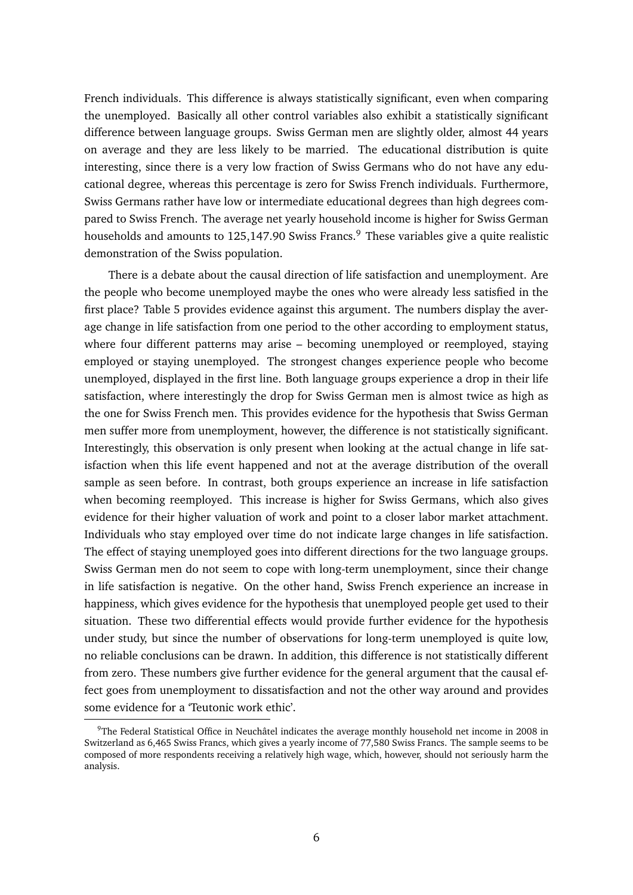French individuals. This difference is always statistically significant, even when comparing the unemployed. Basically all other control variables also exhibit a statistically significant difference between language groups. Swiss German men are slightly older, almost 44 years on average and they are less likely to be married. The educational distribution is quite interesting, since there is a very low fraction of Swiss Germans who do not have any educational degree, whereas this percentage is zero for Swiss French individuals. Furthermore, Swiss Germans rather have low or intermediate educational degrees than high degrees compared to Swiss French. The average net yearly household income is higher for Swiss German households and amounts to 125,147.90 Swiss Francs.<sup>9</sup> These variables give a quite realistic demonstration of the Swiss population.

There is a debate about the causal direction of life satisfaction and unemployment. Are the people who become unemployed maybe the ones who were already less satisfied in the first place? Table 5 provides evidence against this argument. The numbers display the average change in life satisfaction from one period to the other according to employment status, where four different patterns may arise – becoming unemployed or reemployed, staying employed or staying unemployed. The strongest changes experience people who become unemployed, displayed in the first line. Both language groups experience a drop in their life satisfaction, where interestingly the drop for Swiss German men is almost twice as high as the one for Swiss French men. This provides evidence for the hypothesis that Swiss German men suffer more from unemployment, however, the difference is not statistically significant. Interestingly, this observation is only present when looking at the actual change in life satisfaction when this life event happened and not at the average distribution of the overall sample as seen before. In contrast, both groups experience an increase in life satisfaction when becoming reemployed. This increase is higher for Swiss Germans, which also gives evidence for their higher valuation of work and point to a closer labor market attachment. Individuals who stay employed over time do not indicate large changes in life satisfaction. The effect of staying unemployed goes into different directions for the two language groups. Swiss German men do not seem to cope with long-term unemployment, since their change in life satisfaction is negative. On the other hand, Swiss French experience an increase in happiness, which gives evidence for the hypothesis that unemployed people get used to their situation. These two differential effects would provide further evidence for the hypothesis under study, but since the number of observations for long-term unemployed is quite low, no reliable conclusions can be drawn. In addition, this difference is not statistically different from zero. These numbers give further evidence for the general argument that the causal effect goes from unemployment to dissatisfaction and not the other way around and provides some evidence for a 'Teutonic work ethic'.

<sup>&</sup>lt;sup>9</sup>The Federal Statistical Office in Neuchâtel indicates the average monthly household net income in 2008 in Switzerland as 6,465 Swiss Francs, which gives a yearly income of 77,580 Swiss Francs. The sample seems to be composed of more respondents receiving a relatively high wage, which, however, should not seriously harm the analysis.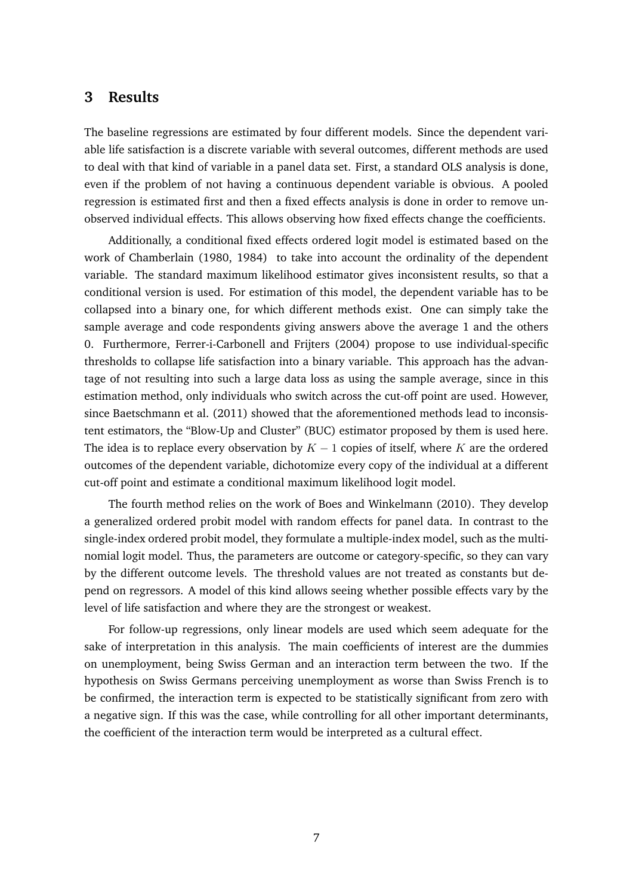### **3 Results**

The baseline regressions are estimated by four different models. Since the dependent variable life satisfaction is a discrete variable with several outcomes, different methods are used to deal with that kind of variable in a panel data set. First, a standard OLS analysis is done, even if the problem of not having a continuous dependent variable is obvious. A pooled regression is estimated first and then a fixed effects analysis is done in order to remove unobserved individual effects. This allows observing how fixed effects change the coefficients.

Additionally, a conditional fixed effects ordered logit model is estimated based on the work of Chamberlain (1980, 1984) to take into account the ordinality of the dependent variable. The standard maximum likelihood estimator gives inconsistent results, so that a conditional version is used. For estimation of this model, the dependent variable has to be collapsed into a binary one, for which different methods exist. One can simply take the sample average and code respondents giving answers above the average 1 and the others 0. Furthermore, Ferrer-i-Carbonell and Frijters (2004) propose to use individual-specific thresholds to collapse life satisfaction into a binary variable. This approach has the advantage of not resulting into such a large data loss as using the sample average, since in this estimation method, only individuals who switch across the cut-off point are used. However, since Baetschmann et al. (2011) showed that the aforementioned methods lead to inconsistent estimators, the "Blow-Up and Cluster" (BUC) estimator proposed by them is used here. The idea is to replace every observation by  $K - 1$  copies of itself, where K are the ordered outcomes of the dependent variable, dichotomize every copy of the individual at a different cut-off point and estimate a conditional maximum likelihood logit model.

The fourth method relies on the work of Boes and Winkelmann (2010). They develop a generalized ordered probit model with random effects for panel data. In contrast to the single-index ordered probit model, they formulate a multiple-index model, such as the multinomial logit model. Thus, the parameters are outcome or category-specific, so they can vary by the different outcome levels. The threshold values are not treated as constants but depend on regressors. A model of this kind allows seeing whether possible effects vary by the level of life satisfaction and where they are the strongest or weakest.

For follow-up regressions, only linear models are used which seem adequate for the sake of interpretation in this analysis. The main coefficients of interest are the dummies on unemployment, being Swiss German and an interaction term between the two. If the hypothesis on Swiss Germans perceiving unemployment as worse than Swiss French is to be confirmed, the interaction term is expected to be statistically significant from zero with a negative sign. If this was the case, while controlling for all other important determinants, the coefficient of the interaction term would be interpreted as a cultural effect.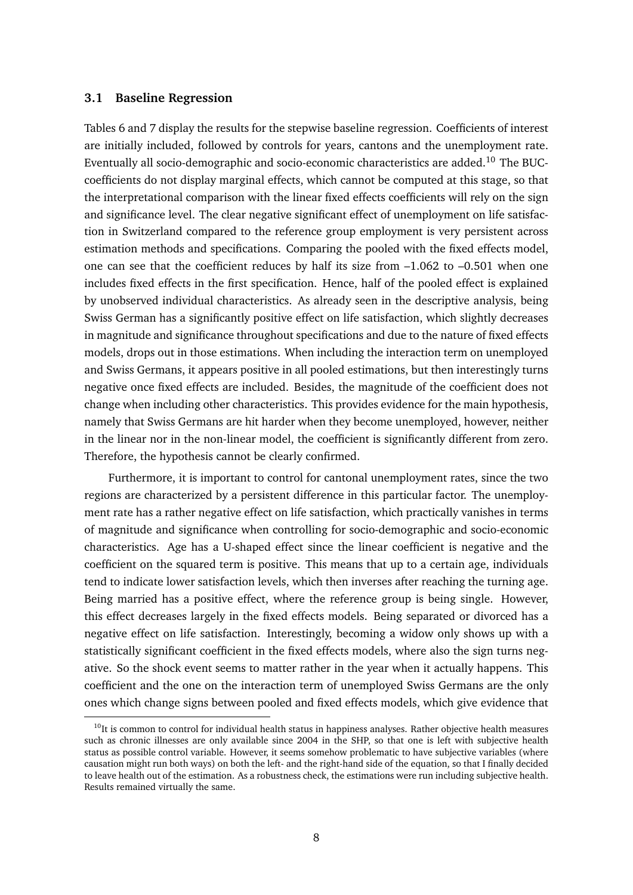### **3.1 Baseline Regression**

Tables 6 and 7 display the results for the stepwise baseline regression. Coefficients of interest are initially included, followed by controls for years, cantons and the unemployment rate. Eventually all socio-demographic and socio-economic characteristics are added.<sup>10</sup> The BUCcoefficients do not display marginal effects, which cannot be computed at this stage, so that the interpretational comparison with the linear fixed effects coefficients will rely on the sign and significance level. The clear negative significant effect of unemployment on life satisfaction in Switzerland compared to the reference group employment is very persistent across estimation methods and specifications. Comparing the pooled with the fixed effects model, one can see that the coefficient reduces by half its size from –1.062 to –0.501 when one includes fixed effects in the first specification. Hence, half of the pooled effect is explained by unobserved individual characteristics. As already seen in the descriptive analysis, being Swiss German has a significantly positive effect on life satisfaction, which slightly decreases in magnitude and significance throughout specifications and due to the nature of fixed effects models, drops out in those estimations. When including the interaction term on unemployed and Swiss Germans, it appears positive in all pooled estimations, but then interestingly turns negative once fixed effects are included. Besides, the magnitude of the coefficient does not change when including other characteristics. This provides evidence for the main hypothesis, namely that Swiss Germans are hit harder when they become unemployed, however, neither in the linear nor in the non-linear model, the coefficient is significantly different from zero. Therefore, the hypothesis cannot be clearly confirmed.

Furthermore, it is important to control for cantonal unemployment rates, since the two regions are characterized by a persistent difference in this particular factor. The unemployment rate has a rather negative effect on life satisfaction, which practically vanishes in terms of magnitude and significance when controlling for socio-demographic and socio-economic characteristics. Age has a U-shaped effect since the linear coefficient is negative and the coefficient on the squared term is positive. This means that up to a certain age, individuals tend to indicate lower satisfaction levels, which then inverses after reaching the turning age. Being married has a positive effect, where the reference group is being single. However, this effect decreases largely in the fixed effects models. Being separated or divorced has a negative effect on life satisfaction. Interestingly, becoming a widow only shows up with a statistically significant coefficient in the fixed effects models, where also the sign turns negative. So the shock event seems to matter rather in the year when it actually happens. This coefficient and the one on the interaction term of unemployed Swiss Germans are the only ones which change signs between pooled and fixed effects models, which give evidence that

 $10$ It is common to control for individual health status in happiness analyses. Rather objective health measures such as chronic illnesses are only available since 2004 in the SHP, so that one is left with subjective health status as possible control variable. However, it seems somehow problematic to have subjective variables (where causation might run both ways) on both the left- and the right-hand side of the equation, so that I finally decided to leave health out of the estimation. As a robustness check, the estimations were run including subjective health. Results remained virtually the same.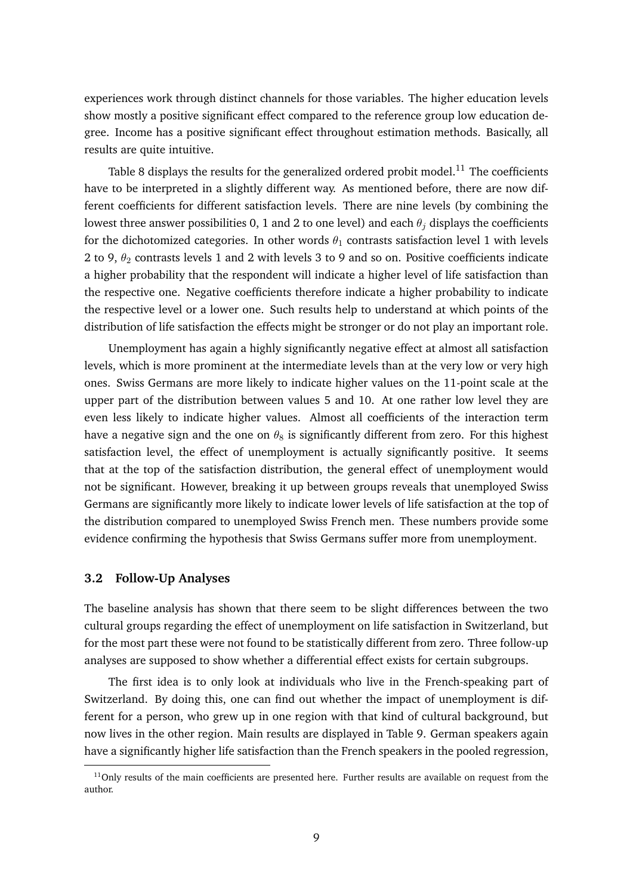experiences work through distinct channels for those variables. The higher education levels show mostly a positive significant effect compared to the reference group low education degree. Income has a positive significant effect throughout estimation methods. Basically, all results are quite intuitive.

Table 8 displays the results for the generalized ordered probit model.<sup>11</sup> The coefficients have to be interpreted in a slightly different way. As mentioned before, there are now different coefficients for different satisfaction levels. There are nine levels (by combining the lowest three answer possibilities 0, 1 and 2 to one level) and each  $\theta_j$  displays the coefficients for the dichotomized categories. In other words  $\theta_1$  contrasts satisfaction level 1 with levels 2 to 9,  $\theta_2$  contrasts levels 1 and 2 with levels 3 to 9 and so on. Positive coefficients indicate a higher probability that the respondent will indicate a higher level of life satisfaction than the respective one. Negative coefficients therefore indicate a higher probability to indicate the respective level or a lower one. Such results help to understand at which points of the distribution of life satisfaction the effects might be stronger or do not play an important role.

Unemployment has again a highly significantly negative effect at almost all satisfaction levels, which is more prominent at the intermediate levels than at the very low or very high ones. Swiss Germans are more likely to indicate higher values on the 11-point scale at the upper part of the distribution between values 5 and 10. At one rather low level they are even less likely to indicate higher values. Almost all coefficients of the interaction term have a negative sign and the one on  $\theta_8$  is significantly different from zero. For this highest satisfaction level, the effect of unemployment is actually significantly positive. It seems that at the top of the satisfaction distribution, the general effect of unemployment would not be significant. However, breaking it up between groups reveals that unemployed Swiss Germans are significantly more likely to indicate lower levels of life satisfaction at the top of the distribution compared to unemployed Swiss French men. These numbers provide some evidence confirming the hypothesis that Swiss Germans suffer more from unemployment.

#### **3.2 Follow-Up Analyses**

The baseline analysis has shown that there seem to be slight differences between the two cultural groups regarding the effect of unemployment on life satisfaction in Switzerland, but for the most part these were not found to be statistically different from zero. Three follow-up analyses are supposed to show whether a differential effect exists for certain subgroups.

The first idea is to only look at individuals who live in the French-speaking part of Switzerland. By doing this, one can find out whether the impact of unemployment is different for a person, who grew up in one region with that kind of cultural background, but now lives in the other region. Main results are displayed in Table 9. German speakers again have a significantly higher life satisfaction than the French speakers in the pooled regression,

 $11$ Only results of the main coefficients are presented here. Further results are available on request from the author.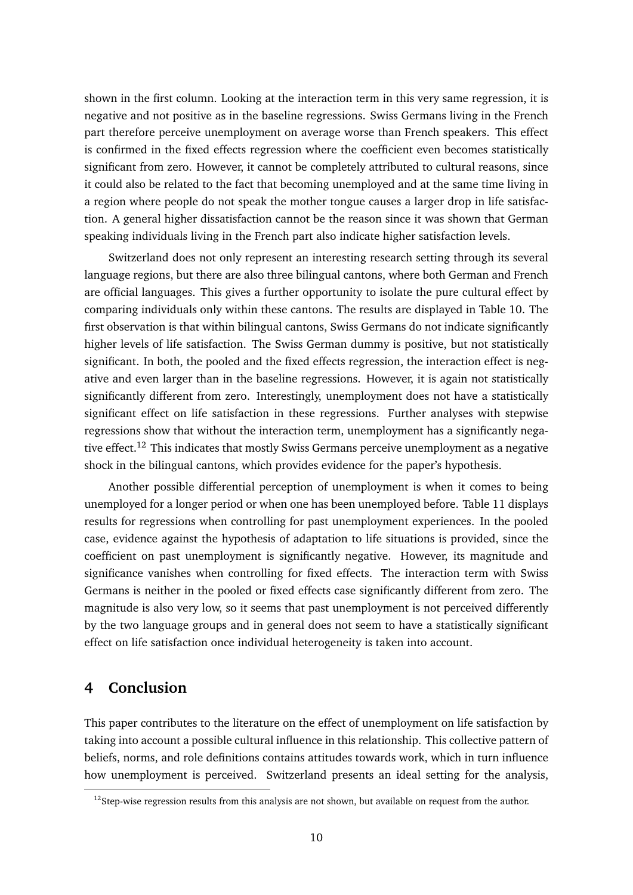shown in the first column. Looking at the interaction term in this very same regression, it is negative and not positive as in the baseline regressions. Swiss Germans living in the French part therefore perceive unemployment on average worse than French speakers. This effect is confirmed in the fixed effects regression where the coefficient even becomes statistically significant from zero. However, it cannot be completely attributed to cultural reasons, since it could also be related to the fact that becoming unemployed and at the same time living in a region where people do not speak the mother tongue causes a larger drop in life satisfaction. A general higher dissatisfaction cannot be the reason since it was shown that German speaking individuals living in the French part also indicate higher satisfaction levels.

Switzerland does not only represent an interesting research setting through its several language regions, but there are also three bilingual cantons, where both German and French are official languages. This gives a further opportunity to isolate the pure cultural effect by comparing individuals only within these cantons. The results are displayed in Table 10. The first observation is that within bilingual cantons, Swiss Germans do not indicate significantly higher levels of life satisfaction. The Swiss German dummy is positive, but not statistically significant. In both, the pooled and the fixed effects regression, the interaction effect is negative and even larger than in the baseline regressions. However, it is again not statistically significantly different from zero. Interestingly, unemployment does not have a statistically significant effect on life satisfaction in these regressions. Further analyses with stepwise regressions show that without the interaction term, unemployment has a significantly negative effect.<sup>12</sup> This indicates that mostly Swiss Germans perceive unemployment as a negative shock in the bilingual cantons, which provides evidence for the paper's hypothesis.

Another possible differential perception of unemployment is when it comes to being unemployed for a longer period or when one has been unemployed before. Table 11 displays results for regressions when controlling for past unemployment experiences. In the pooled case, evidence against the hypothesis of adaptation to life situations is provided, since the coefficient on past unemployment is significantly negative. However, its magnitude and significance vanishes when controlling for fixed effects. The interaction term with Swiss Germans is neither in the pooled or fixed effects case significantly different from zero. The magnitude is also very low, so it seems that past unemployment is not perceived differently by the two language groups and in general does not seem to have a statistically significant effect on life satisfaction once individual heterogeneity is taken into account.

### **4 Conclusion**

This paper contributes to the literature on the effect of unemployment on life satisfaction by taking into account a possible cultural influence in this relationship. This collective pattern of beliefs, norms, and role definitions contains attitudes towards work, which in turn influence how unemployment is perceived. Switzerland presents an ideal setting for the analysis,

 $12$ Step-wise regression results from this analysis are not shown, but available on request from the author.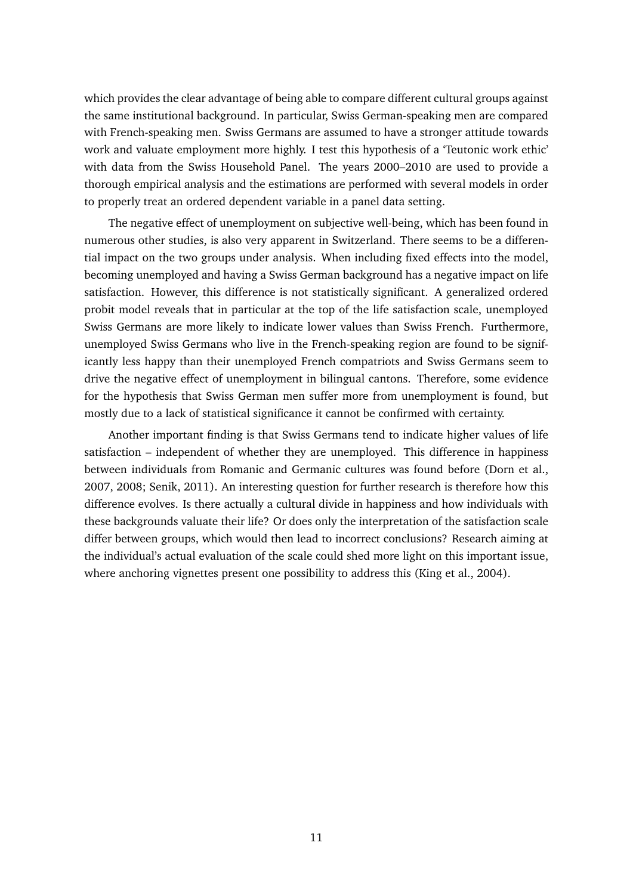which provides the clear advantage of being able to compare different cultural groups against the same institutional background. In particular, Swiss German-speaking men are compared with French-speaking men. Swiss Germans are assumed to have a stronger attitude towards work and valuate employment more highly. I test this hypothesis of a 'Teutonic work ethic' with data from the Swiss Household Panel. The years 2000–2010 are used to provide a thorough empirical analysis and the estimations are performed with several models in order to properly treat an ordered dependent variable in a panel data setting.

The negative effect of unemployment on subjective well-being, which has been found in numerous other studies, is also very apparent in Switzerland. There seems to be a differential impact on the two groups under analysis. When including fixed effects into the model, becoming unemployed and having a Swiss German background has a negative impact on life satisfaction. However, this difference is not statistically significant. A generalized ordered probit model reveals that in particular at the top of the life satisfaction scale, unemployed Swiss Germans are more likely to indicate lower values than Swiss French. Furthermore, unemployed Swiss Germans who live in the French-speaking region are found to be significantly less happy than their unemployed French compatriots and Swiss Germans seem to drive the negative effect of unemployment in bilingual cantons. Therefore, some evidence for the hypothesis that Swiss German men suffer more from unemployment is found, but mostly due to a lack of statistical significance it cannot be confirmed with certainty.

Another important finding is that Swiss Germans tend to indicate higher values of life satisfaction – independent of whether they are unemployed. This difference in happiness between individuals from Romanic and Germanic cultures was found before (Dorn et al., 2007, 2008; Senik, 2011). An interesting question for further research is therefore how this difference evolves. Is there actually a cultural divide in happiness and how individuals with these backgrounds valuate their life? Or does only the interpretation of the satisfaction scale differ between groups, which would then lead to incorrect conclusions? Research aiming at the individual's actual evaluation of the scale could shed more light on this important issue, where anchoring vignettes present one possibility to address this (King et al., 2004).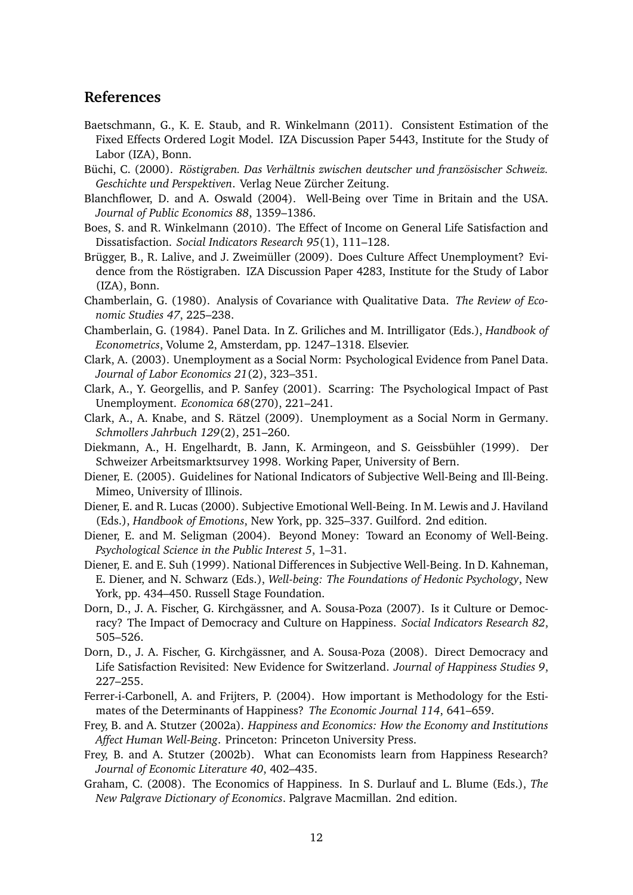### **References**

- Baetschmann, G., K. E. Staub, and R. Winkelmann (2011). Consistent Estimation of the Fixed Effects Ordered Logit Model. IZA Discussion Paper 5443, Institute for the Study of Labor (IZA), Bonn.
- Büchi, C. (2000). *Röstigraben. Das Verhältnis zwischen deutscher und französischer Schweiz. Geschichte und Perspektiven*. Verlag Neue Zürcher Zeitung.
- Blanchflower, D. and A. Oswald (2004). Well-Being over Time in Britain and the USA. *Journal of Public Economics 88*, 1359–1386.
- Boes, S. and R. Winkelmann (2010). The Effect of Income on General Life Satisfaction and Dissatisfaction. *Social Indicators Research 95*(1), 111–128.
- Brügger, B., R. Lalive, and J. Zweimüller (2009). Does Culture Affect Unemployment? Evidence from the Röstigraben. IZA Discussion Paper 4283, Institute for the Study of Labor (IZA), Bonn.
- Chamberlain, G. (1980). Analysis of Covariance with Qualitative Data. *The Review of Economic Studies 47*, 225–238.
- Chamberlain, G. (1984). Panel Data. In Z. Griliches and M. Intrilligator (Eds.), *Handbook of Econometrics*, Volume 2, Amsterdam, pp. 1247–1318. Elsevier.
- Clark, A. (2003). Unemployment as a Social Norm: Psychological Evidence from Panel Data. *Journal of Labor Economics 21*(2), 323–351.
- Clark, A., Y. Georgellis, and P. Sanfey (2001). Scarring: The Psychological Impact of Past Unemployment. *Economica 68*(270), 221–241.
- Clark, A., A. Knabe, and S. Rätzel (2009). Unemployment as a Social Norm in Germany. *Schmollers Jahrbuch 129*(2), 251–260.
- Diekmann, A., H. Engelhardt, B. Jann, K. Armingeon, and S. Geissbühler (1999). Der Schweizer Arbeitsmarktsurvey 1998. Working Paper, University of Bern.
- Diener, E. (2005). Guidelines for National Indicators of Subjective Well-Being and Ill-Being. Mimeo, University of Illinois.
- Diener, E. and R. Lucas (2000). Subjective Emotional Well-Being. In M. Lewis and J. Haviland (Eds.), *Handbook of Emotions*, New York, pp. 325–337. Guilford. 2nd edition.
- Diener, E. and M. Seligman (2004). Beyond Money: Toward an Economy of Well-Being. *Psychological Science in the Public Interest 5*, 1–31.
- Diener, E. and E. Suh (1999). National Differences in Subjective Well-Being. In D. Kahneman, E. Diener, and N. Schwarz (Eds.), *Well-being: The Foundations of Hedonic Psychology*, New York, pp. 434–450. Russell Stage Foundation.
- Dorn, D., J. A. Fischer, G. Kirchgässner, and A. Sousa-Poza (2007). Is it Culture or Democracy? The Impact of Democracy and Culture on Happiness. *Social Indicators Research 82*, 505–526.
- Dorn, D., J. A. Fischer, G. Kirchgässner, and A. Sousa-Poza (2008). Direct Democracy and Life Satisfaction Revisited: New Evidence for Switzerland. *Journal of Happiness Studies 9*, 227–255.
- Ferrer-i-Carbonell, A. and Frijters, P. (2004). How important is Methodology for the Estimates of the Determinants of Happiness? *The Economic Journal 114*, 641–659.
- Frey, B. and A. Stutzer (2002a). *Happiness and Economics: How the Economy and Institutions Affect Human Well-Being*. Princeton: Princeton University Press.
- Frey, B. and A. Stutzer (2002b). What can Economists learn from Happiness Research? *Journal of Economic Literature 40*, 402–435.
- Graham, C. (2008). The Economics of Happiness. In S. Durlauf and L. Blume (Eds.), *The New Palgrave Dictionary of Economics*. Palgrave Macmillan. 2nd edition.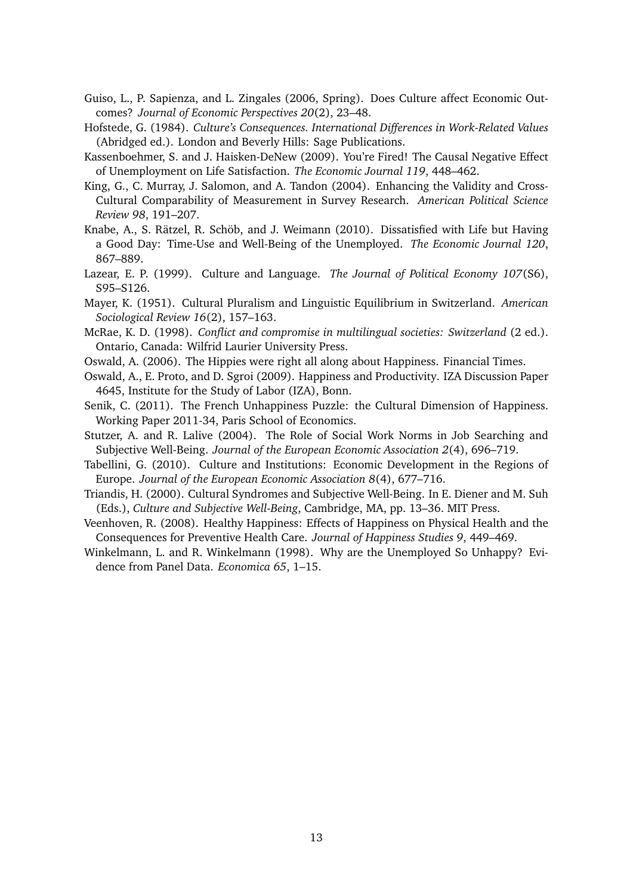- Guiso, L., P. Sapienza, and L. Zingales (2006, Spring). Does Culture affect Economic Outcomes? *Journal of Economic Perspectives 20*(2), 23–48.
- Hofstede, G. (1984). *Culture's Consequences. International Differences in Work-Related Values* (Abridged ed.). London and Beverly Hills: Sage Publications.
- Kassenboehmer, S. and J. Haisken-DeNew (2009). You're Fired! The Causal Negative Effect of Unemployment on Life Satisfaction. *The Economic Journal 119*, 448–462.
- King, G., C. Murray, J. Salomon, and A. Tandon (2004). Enhancing the Validity and Cross-Cultural Comparability of Measurement in Survey Research. *American Political Science Review 98*, 191–207.
- Knabe, A., S. Rätzel, R. Schöb, and J. Weimann (2010). Dissatisfied with Life but Having a Good Day: Time-Use and Well-Being of the Unemployed. *The Economic Journal 120*, 867–889.
- Lazear, E. P. (1999). Culture and Language. *The Journal of Political Economy 107*(S6), S95–S126.
- Mayer, K. (1951). Cultural Pluralism and Linguistic Equilibrium in Switzerland. *American Sociological Review 16*(2), 157–163.
- McRae, K. D. (1998). *Conflict and compromise in multilingual societies: Switzerland* (2 ed.). Ontario, Canada: Wilfrid Laurier University Press.
- Oswald, A. (2006). The Hippies were right all along about Happiness. Financial Times.
- Oswald, A., E. Proto, and D. Sgroi (2009). Happiness and Productivity. IZA Discussion Paper 4645, Institute for the Study of Labor (IZA), Bonn.
- Senik, C. (2011). The French Unhappiness Puzzle: the Cultural Dimension of Happiness. Working Paper 2011-34, Paris School of Economics.
- Stutzer, A. and R. Lalive (2004). The Role of Social Work Norms in Job Searching and Subjective Well-Being. *Journal of the European Economic Association 2*(4), 696–719.
- Tabellini, G. (2010). Culture and Institutions: Economic Development in the Regions of Europe. *Journal of the European Economic Association 8*(4), 677–716.
- Triandis, H. (2000). Cultural Syndromes and Subjective Well-Being. In E. Diener and M. Suh (Eds.), *Culture and Subjective Well-Being*, Cambridge, MA, pp. 13–36. MIT Press.
- Veenhoven, R. (2008). Healthy Happiness: Effects of Happiness on Physical Health and the Consequences for Preventive Health Care. *Journal of Happiness Studies 9*, 449–469.
- Winkelmann, L. and R. Winkelmann (1998). Why are the Unemployed So Unhappy? Evidence from Panel Data. *Economica 65*, 1–15.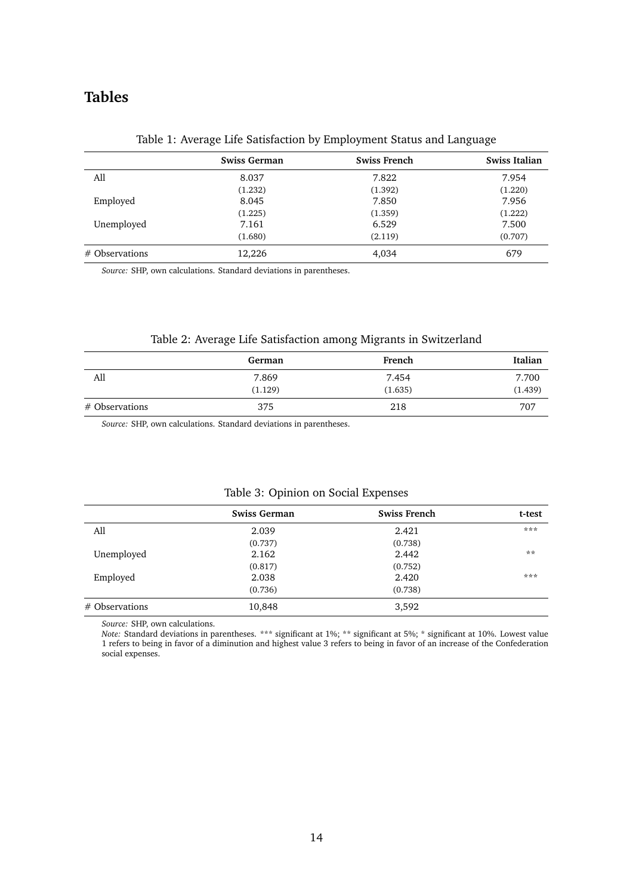## **Tables**

|                  | <b>Swiss German</b> | <b>Swiss French</b> | Swiss Italian |
|------------------|---------------------|---------------------|---------------|
| All              | 8.037               | 7.822               | 7.954         |
|                  | (1.232)             | (1.392)             | (1.220)       |
| Employed         | 8.045               | 7.850               | 7.956         |
|                  | (1.225)             | (1.359)             | (1.222)       |
| Unemployed       | 7.161               | 6.529               | 7.500         |
|                  | (1.680)             | (2.119)             | (0.707)       |
| $#$ Observations | 12,226              | 4,034               | 679           |

#### Table 1: Average Life Satisfaction by Employment Status and Language

*Source:* SHP, own calculations. Standard deviations in parentheses.

### Table 2: Average Life Satisfaction among Migrants in Switzerland

|                | German  | French  | Italian |
|----------------|---------|---------|---------|
| All            | 7.869   | 7.454   | 7.700   |
|                | (1.129) | (1.635) | (1.439) |
| # Observations | 375     | 218     | 707     |

*Source:* SHP, own calculations. Standard deviations in parentheses.

|                | <b>Swiss German</b> | <b>Swiss French</b> | t-test |
|----------------|---------------------|---------------------|--------|
| All            | 2.039               | 2.421               | ***    |
|                | (0.737)             | (0.738)             |        |
| Unemployed     | 2.162               | 2.442               | $**$   |
|                | (0.817)             | (0.752)             |        |
| Employed       | 2.038               | 2.420               | ***    |
|                | (0.736)             | (0.738)             |        |
| # Observations | 10,848              | 3,592               |        |

### Table 3: Opinion on Social Expenses

*Source:* SHP, own calculations.

*Note:* Standard deviations in parentheses. \*\*\* significant at 1%; \*\* significant at 5%; \* significant at 10%. Lowest value 1 refers to being in favor of a diminution and highest value 3 refers to being in favor of an increase of the Confederation social expenses.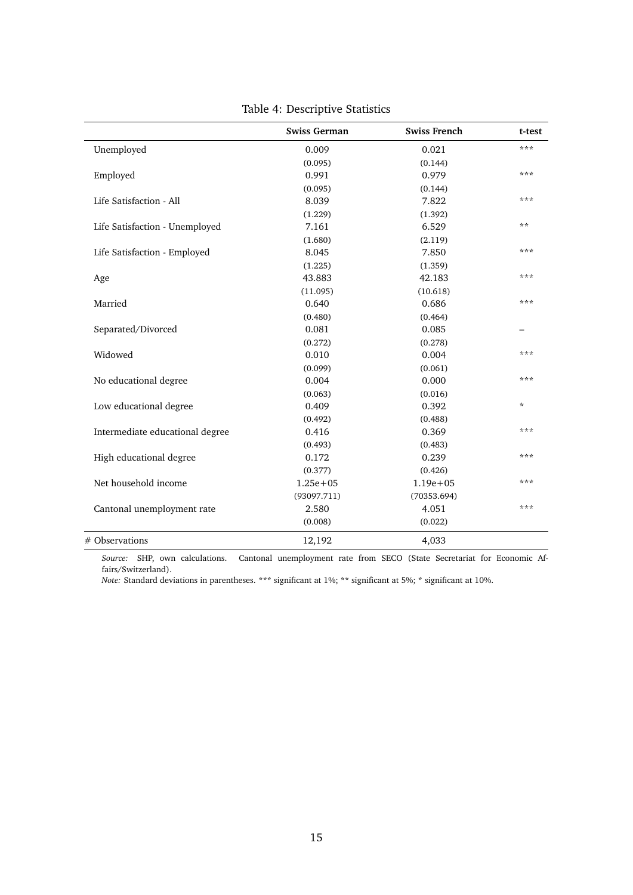|                                 | <b>Swiss German</b> | <b>Swiss French</b> | t-test  |
|---------------------------------|---------------------|---------------------|---------|
| Unemployed                      | 0.009               | 0.021               | ***     |
|                                 | (0.095)             | (0.144)             |         |
| Employed                        | 0.991               | 0.979               | ***     |
|                                 | (0.095)             | (0.144)             |         |
| Life Satisfaction - All         | 8.039               | 7.822               | ***     |
|                                 | (1.229)             | (1.392)             |         |
| Life Satisfaction - Unemployed  | 7.161               | 6.529               | $**$    |
|                                 | (1.680)             | (2.119)             |         |
| Life Satisfaction - Employed    | 8.045               | 7.850               | ***     |
|                                 | (1.225)             | (1.359)             |         |
| Age                             | 43.883              | 42.183              | ***     |
|                                 | (11.095)            | (10.618)            |         |
| Married                         | 0.640               | 0.686               | ***     |
|                                 | (0.480)             | (0.464)             |         |
| Separated/Divorced              | 0.081               | 0.085               |         |
|                                 | (0.272)             | (0.278)             |         |
| Widowed                         | 0.010               | 0.004               | ***     |
|                                 | (0.099)             | (0.061)             |         |
| No educational degree           | 0.004               | 0.000               | ***     |
|                                 | (0.063)             | (0.016)             |         |
| Low educational degree          | 0.409               | 0.392               | $\star$ |
|                                 | (0.492)             | (0.488)             |         |
| Intermediate educational degree | 0.416               | 0.369               | ***     |
|                                 | (0.493)             | (0.483)             |         |
| High educational degree         | 0.172               | 0.239               | ***     |
|                                 | (0.377)             | (0.426)             |         |
| Net household income            | $1.25e + 05$        | $1.19e + 05$        | ***     |
|                                 | (93097.711)         | (70353.694)         |         |
| Cantonal unemployment rate      | 2.580               | 4.051               | ***     |
|                                 | (0.008)             | (0.022)             |         |
| # Observations                  | 12,192              | 4,033               |         |

Table 4: Descriptive Statistics

*Source:* SHP, own calculations. Cantonal unemployment rate from SECO (State Secretariat for Economic Affairs/Switzerland).

*Note:* Standard deviations in parentheses. \*\*\* significant at 1%; \*\* significant at 5%; \* significant at 10%.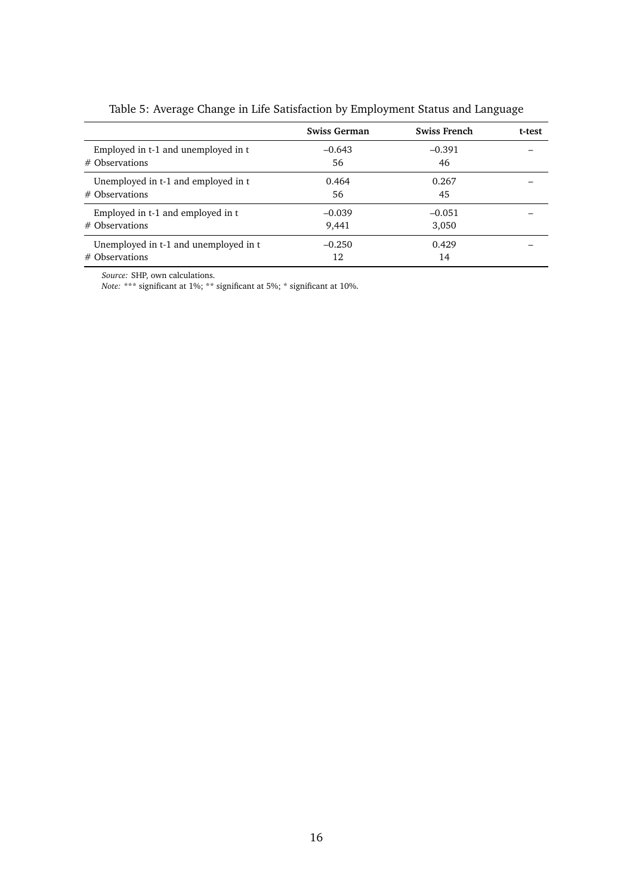|                                       | Swiss German | <b>Swiss French</b> | t-test |
|---------------------------------------|--------------|---------------------|--------|
| Employed in t-1 and unemployed in t   | $-0.643$     | $-0.391$            |        |
| $#$ Observations                      | 56           | 46                  |        |
| Unemployed in t-1 and employed in t   | 0.464        | 0.267               |        |
| $#$ Observations                      | 56           | 45                  |        |
| Employed in t-1 and employed in t     | $-0.039$     | $-0.051$            |        |
| $#$ Observations                      | 9,441        | 3,050               |        |
| Unemployed in t-1 and unemployed in t | $-0.250$     | 0.429               |        |
| $#$ Observations                      | 12           | 14                  |        |

Table 5: Average Change in Life Satisfaction by Employment Status and Language

*Source:* SHP, own calculations.

*Note:* \*\*\* significant at 1%; \*\* significant at 5%; \* significant at 10%.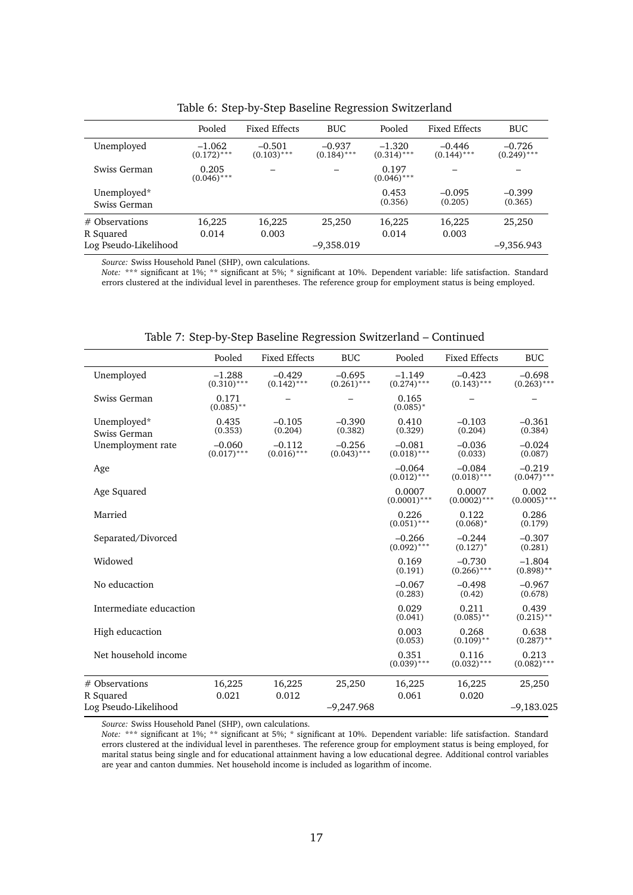|                               | Pooled                    | <b>Fixed Effects</b>      | <b>BUC</b>                | Pooled                    | <b>Fixed Effects</b>      | <b>BUC</b>                |
|-------------------------------|---------------------------|---------------------------|---------------------------|---------------------------|---------------------------|---------------------------|
| Unemployed                    | $-1.062$<br>$(0.172)$ *** | $-0.501$<br>$(0.103)$ *** | $-0.937$<br>$(0.184)$ *** | $-1.320$<br>$(0.314)$ *** | $-0.446$<br>$(0.144)$ *** | $-0.726$<br>$(0.249)$ *** |
| Swiss German                  | 0.205<br>$(0.046)$ ***    |                           |                           | 0.197<br>$(0.046)$ ***    |                           |                           |
| Unemployed*<br>Swiss German   |                           |                           |                           | 0.453<br>(0.356)          | $-0.095$<br>(0.205)       | $-0.399$<br>(0.365)       |
| $#$ Observations<br>R Squared | 16,225<br>0.014           | 16,225<br>0.003           | 25,250                    | 16,225<br>0.014           | 16,225<br>0.003           | 25,250                    |
| Log Pseudo-Likelihood         |                           |                           | $-9,358.019$              |                           |                           | $-9,356.943$              |

Table 6: Step-by-Step Baseline Regression Switzerland

*Source:* Swiss Household Panel (SHP), own calculations.

*Note:* \*\*\* significant at 1%; \*\* significant at 5%; \* significant at 10%. Dependent variable: life satisfaction. Standard errors clustered at the individual level in parentheses. The reference group for employment status is being employed.

|                             | Pooled                    | <b>Fixed Effects</b>      | <b>BUC</b>                | Pooled                    | <b>Fixed Effects</b>      | <b>BUC</b>                |
|-----------------------------|---------------------------|---------------------------|---------------------------|---------------------------|---------------------------|---------------------------|
| Unemployed                  | $-1.288$<br>$(0.310)$ *** | $-0.429$<br>$(0.142)$ *** | $-0.695$<br>$(0.261)$ *** | $-1.149$<br>$(0.274)$ *** | $-0.423$<br>$(0.143)$ *** | $-0.698$<br>$(0.263)$ *** |
| Swiss German                | 0.171<br>$(0.085)$ **     |                           |                           | 0.165<br>$(0.085)^*$      |                           |                           |
| Unemployed*<br>Swiss German | 0.435<br>(0.353)          | $-0.105$<br>(0.204)       | $-0.390$<br>(0.382)       | 0.410<br>(0.329)          | $-0.103$<br>(0.204)       | $-0.361$<br>(0.384)       |
| Unemployment rate           | $-0.060$<br>$(0.017)$ *** | $-0.112$<br>$(0.016)$ *** | $-0.256$<br>$(0.043)$ *** | $-0.081$<br>$(0.018)$ *** | $-0.036$<br>(0.033)       | $-0.024$<br>(0.087)       |
| Age                         |                           |                           |                           | $-0.064$<br>$(0.012)$ *** | $-0.084$<br>$(0.018)$ *** | $-0.219$<br>$(0.047)$ *** |
| Age Squared                 |                           |                           |                           | 0.0007<br>$(0.0001)$ ***  | 0.0007<br>$(0.0002)$ ***  | 0.002<br>$(0.0005)$ ***   |
| Married                     |                           |                           |                           | 0.226<br>$(0.051)$ ***    | 0.122<br>$(0.068)*$       | 0.286<br>(0.179)          |
| Separated/Divorced          |                           |                           |                           | $-0.266$<br>$(0.092)$ *** | $-0.244$<br>$(0.127)^*$   | $-0.307$<br>(0.281)       |
| Widowed                     |                           |                           |                           | 0.169<br>(0.191)          | $-0.730$<br>$(0.266)$ *** | $-1.804$<br>$(0.898)$ **  |
| No educaction               |                           |                           |                           | $-0.067$<br>(0.283)       | $-0.498$<br>(0.42)        | $-0.967$<br>(0.678)       |
| Intermediate educaction     |                           |                           |                           | 0.029<br>(0.041)          | 0.211<br>$(0.085)$ **     | 0.439<br>$(0.215)$ **     |
| High educaction             |                           |                           |                           | 0.003<br>(0.053)          | 0.268<br>$(0.109)$ **     | 0.638<br>$(0.287)$ **     |
| Net household income        |                           |                           |                           | 0.351<br>$(0.039)$ ***    | 0.116<br>$(0.032)$ ***    | 0.213<br>$(0.082)$ ***    |
| # Observations<br>R Squared | 16,225<br>0.021           | 16,225<br>0.012           | 25,250                    | 16,225<br>0.061           | 16,225<br>0.020           | 25,250                    |
| Log Pseudo-Likelihood       |                           |                           | $-9,247.968$              |                           |                           | $-9,183.025$              |

Table 7: Step-by-Step Baseline Regression Switzerland – Continued

*Source:* Swiss Household Panel (SHP), own calculations.

*Note:* \*\*\* significant at 1%; \*\* significant at 5%; \* significant at 10%. Dependent variable: life satisfaction. Standard errors clustered at the individual level in parentheses. The reference group for employment status is being employed, for marital status being single and for educational attainment having a low educational degree. Additional control variables are year and canton dummies. Net household income is included as logarithm of income.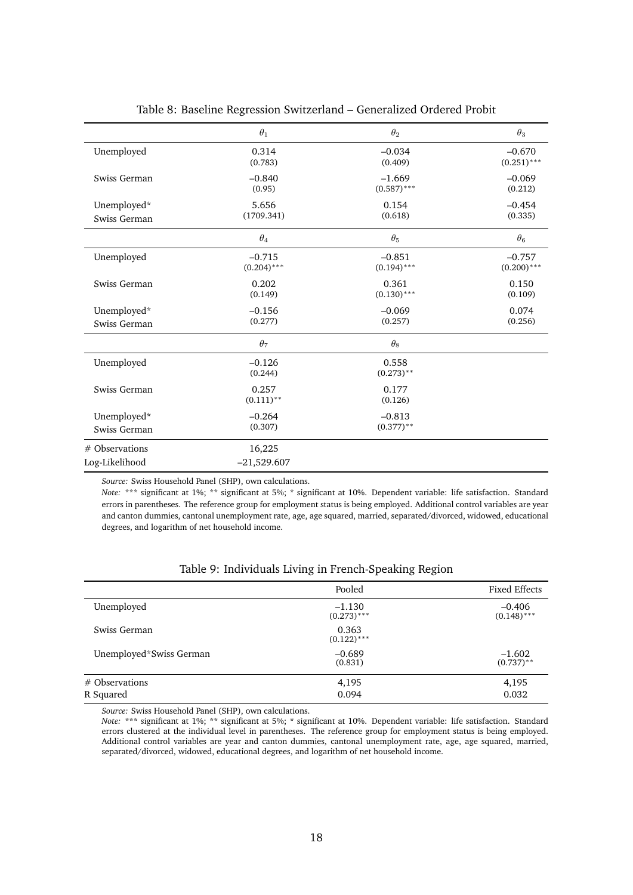|                                  | $\theta_1$              | $\theta_2$            | $\theta_3$    |
|----------------------------------|-------------------------|-----------------------|---------------|
| Unemployed                       | 0.314                   | $-0.034$              | $-0.670$      |
|                                  | (0.783)                 | (0.409)               | $(0.251)$ *** |
| Swiss German                     | $-0.840$                | $-1.669$              | $-0.069$      |
|                                  | (0.95)                  | $(0.587)$ ***         | (0.212)       |
| Unemployed*                      | 5.656                   | 0.154                 | $-0.454$      |
| Swiss German                     | (1709.341)              | (0.618)               | (0.335)       |
|                                  | $\theta_4$              | $\theta_5$            | $\theta_6$    |
| Unemployed                       | $-0.715$                | $-0.851$              | $-0.757$      |
|                                  | $(0.204)$ ***           | $(0.194)$ ***         | $(0.200)$ *** |
| Swiss German                     | 0.202                   | 0.361                 | 0.150         |
|                                  | (0.149)                 | $(0.130)$ ***         | (0.109)       |
| Unemployed*                      | $-0.156$                | $-0.069$              | 0.074         |
| Swiss German                     | (0.277)                 | (0.257)               | (0.256)       |
|                                  | $\theta_7$              | $\theta_8$            |               |
| Unemployed                       | $-0.126$<br>(0.244)     | 0.558<br>$(0.273)$ ** |               |
| Swiss German                     | 0.257<br>$(0.111)$ **   | 0.177<br>(0.126)      |               |
| Unemployed*                      | $-0.264$                | $-0.813$              |               |
| Swiss German                     | (0.307)                 | $(0.377)$ **          |               |
| # Observations<br>Log-Likelihood | 16,225<br>$-21,529.607$ |                       |               |

#### Table 8: Baseline Regression Switzerland – Generalized Ordered Probit

*Source:* Swiss Household Panel (SHP), own calculations.

*Note:* \*\*\* significant at 1%; \*\* significant at 5%; \* significant at 10%. Dependent variable: life satisfaction. Standard errors in parentheses. The reference group for employment status is being employed. Additional control variables are year and canton dummies, cantonal unemployment rate, age, age squared, married, separated/divorced, widowed, educational degrees, and logarithm of net household income.

|                         | Pooled                    | <b>Fixed Effects</b>      |
|-------------------------|---------------------------|---------------------------|
| Unemployed              | $-1.130$<br>$(0.273)$ *** | $-0.406$<br>$(0.148)$ *** |
| Swiss German            | 0.363<br>$(0.122)$ ***    |                           |
| Unemployed*Swiss German | $-0.689$<br>(0.831)       | $-1.602$<br>$(0.737)$ **  |
| # Observations          | 4,195                     | 4,195                     |
| R Squared               | 0.094                     | 0.032                     |

#### Table 9: Individuals Living in French-Speaking Region

*Source:* Swiss Household Panel (SHP), own calculations.

*Note:* \*\*\* significant at 1%; \*\* significant at 5%; \* significant at 10%. Dependent variable: life satisfaction. Standard errors clustered at the individual level in parentheses. The reference group for employment status is being employed. Additional control variables are year and canton dummies, cantonal unemployment rate, age, age squared, married, separated/divorced, widowed, educational degrees, and logarithm of net household income.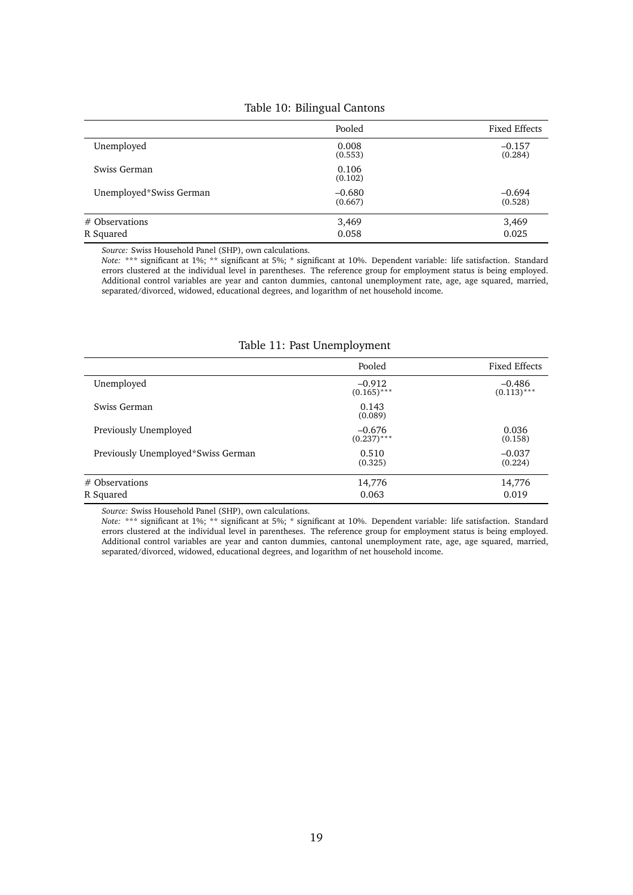|                         | Pooled              | <b>Fixed Effects</b> |
|-------------------------|---------------------|----------------------|
| Unemployed              | 0.008<br>(0.553)    | $-0.157$<br>(0.284)  |
| Swiss German            | 0.106<br>(0.102)    |                      |
| Unemployed*Swiss German | $-0.680$<br>(0.667) | $-0.694$<br>(0.528)  |
| $#$ Observations        | 3,469               | 3,469                |
| R Squared               | 0.058               | 0.025                |

#### Table 10: Bilingual Cantons

*Source:* Swiss Household Panel (SHP), own calculations.

*Note:* \*\*\* significant at 1%; \*\* significant at 5%; \* significant at 10%. Dependent variable: life satisfaction. Standard errors clustered at the individual level in parentheses. The reference group for employment status is being employed. Additional control variables are year and canton dummies, cantonal unemployment rate, age, age squared, married, separated/divorced, widowed, educational degrees, and logarithm of net household income.

| Table 11: Past Unemployment |  |  |
|-----------------------------|--|--|
|-----------------------------|--|--|

|                                    | Pooled                    | Fixed Effects             |
|------------------------------------|---------------------------|---------------------------|
| Unemployed                         | $-0.912$<br>$(0.165)$ *** | $-0.486$<br>$(0.113)$ *** |
| Swiss German                       | 0.143<br>(0.089)          |                           |
| Previously Unemployed              | $-0.676$<br>$(0.237)$ *** | 0.036<br>(0.158)          |
| Previously Unemployed*Swiss German | 0.510<br>(0.325)          | $-0.037$<br>(0.224)       |
| # Observations<br>R Squared        | 14,776<br>0.063           | 14,776<br>0.019           |

*Source:* Swiss Household Panel (SHP), own calculations.

*Note:* \*\*\* significant at 1%; \*\* significant at 5%; \* significant at 10%. Dependent variable: life satisfaction. Standard errors clustered at the individual level in parentheses. The reference group for employment status is being employed. Additional control variables are year and canton dummies, cantonal unemployment rate, age, age squared, married, separated/divorced, widowed, educational degrees, and logarithm of net household income.